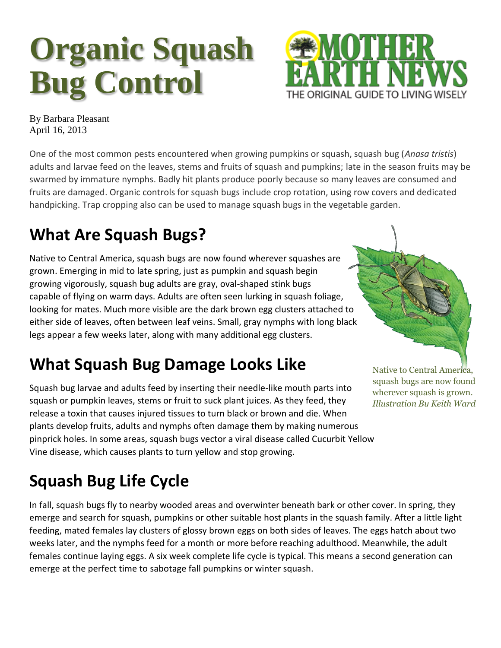# **Organic Squash Bug Control**



By Barbara Pleasant April 16, 2013

One of the most common pests encountered when growing pumpkins or squash, squash bug (*Anasa tristis*) adults and larvae feed on the leaves, stems and fruits of squash and pumpkins; late in the season fruits may be swarmed by immature nymphs. Badly hit plants produce poorly because so many leaves are consumed and fruits are damaged. Organic controls for squash bugs include crop rotation, using row covers and dedicated handpicking. Trap cropping also can be used to manage squash bugs in the vegetable garden.

# **What Are Squash Bugs?**

Native to Central America, squash bugs are now found wherever squashes are grown. Emerging in mid to late spring, just as pumpkin and squash begin growing vigorously, squash bug adults are gray, oval-shaped stink bugs capable of flying on warm days. Adults are often seen lurking in squash foliage, looking for mates. Much more visible are the dark brown egg clusters attached to either side of leaves, often between leaf veins. Small, gray nymphs with long black legs appear a few weeks later, along with many additional egg clusters.

## **What Squash Bug Damage Looks Like**

Squash bug larvae and adults feed by inserting their needle-like mouth parts into squash or pumpkin leaves, stems or fruit to suck plant juices. As they feed, they release a toxin that causes injured tissues to turn black or brown and die. When plants develop fruits, adults and nymphs often damage them by making numerous pinprick holes. In some areas, squash bugs vector a viral disease called Cucurbit Yellow Vine disease, which causes plants to turn yellow and stop growing.

Native to Central America, squash bugs are now found wherever squash is grown*. Illustration By Keith Ward*

# **Squash Bug Life Cycle**

In fall, squash bugs fly to nearby wooded areas and overwinter beneath bark or other cover. In spring, they emerge and search for squash, pumpkins or other suitable host plants in the squash family. After a little light feeding, mated females lay clusters of glossy brown eggs on both sides of leaves. The eggs hatch about two weeks later, and the nymphs feed for a month or more before reaching adulthood. Meanwhile, the adult females continue laying eggs. A six week complete life cycle is typical. This means a second generation can emerge at the perfect time to sabotage fall pumpkins or winter squash.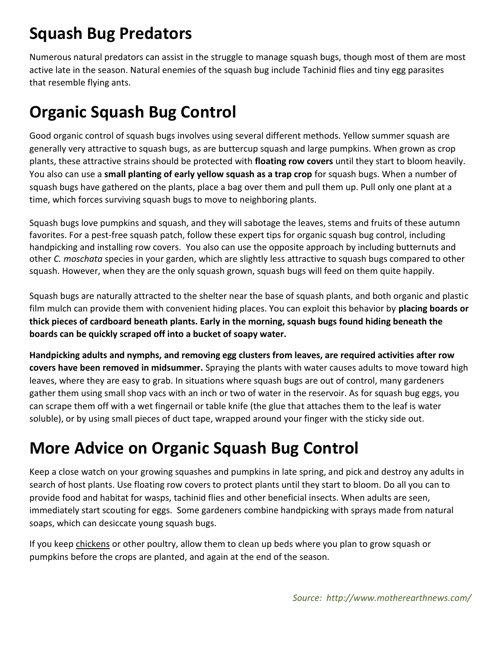#### **Squash Bug Predators**

Numerous natural predators can assist in the struggle to manage squash bugs, though most of them are most active late in the season. Natural enemies of the squash bug include [Tachinid flies](http://www.motherearthnews.com/organic-gardening/attract-parasitic-tachinid-fly-zw0z1303zkin.aspx) and tiny egg parasites that [resemble flying ants.](http://bugguide.net/node/view/360329/bgpage)

#### **Organic Squash Bug Control**

Good organic control of squash bugs involves using several different methods. Yellow summer squash are generally very attractive to squash bugs, as are buttercup squash and large pumpkins. When grown as crop plants, these attractive strains should be protected with **floating row covers** until they start to bloom heavily. You also can use a **small planting of early yellow squash as a trap crop** for squash bugs. When a number of squash bugs have gathered on the plants, place a bag over them and pull them up. Pull only one plant at a time, which forces surviving squash bugs to move to neighboring plants.

Squash bugs love pumpkins and squash, and they will sabotage the leaves, stems and fruits of these autumn favorites. For a pest-free squash patch, follow these expert tips for organic squash bug control, including handpicking and installing row covers. You also can use the opposite approach by including butternuts and other *C. moschata* species in your garden, which are slightly less attractive to squash bugs compared to other squash. However, when they are the only squash grown, squash bugs will feed on them quite happily.

Squash bugs are naturally attracted to the shelter near the base of squash plants, and both organic and plastic film mulch can provide them with convenient hiding places. You can exploit this behavior by **placing boards or thick pieces of cardboard beneath plants. Early in the morning, squash bugs found hiding beneath the boards can be quickly scraped off into a bucket of soapy water.**

**Handpicking adults and nymphs, and removing egg clusters from leaves, are required activities after row covers have been removed in midsummer.** Spraying the plants with water causes adults to move toward high leaves, where they are easy to grab. In situations where squash bugs are out of control, many gardeners gather them using small shop vacs with an inch or two of water in the reservoir. As for squash bug eggs, you can scrape them off with a wet fingernail or table knife (the glue that attaches them to the leaf is water soluble), or by using small pieces of duct tape, wrapped around your finger with the sticky side out.

### **More Advice on Organic Squash Bug Control**

Keep a close watch on your growing squashes and pumpkins in late spring, and pick and destroy any adults in search of host plants. Use floating row covers to protect plants until they start to bloom. Do all you can to provide food and habitat for wasps, tachinid flies and other beneficial insects. When adults are seen, immediately start scouting for eggs. Some gardeners combine handpicking with sprays made from natural soaps, which can desiccate young squash bugs.

If you keep [chickens](http://www.motherearthnews.com/organic-gardening/gardening-with-chickens-pest-control-zw0z1304zkin.aspx) or other poultry, allow them to clean up beds where you plan to grow squash or pumpkins before the crops are planted, and again at the end of the season.